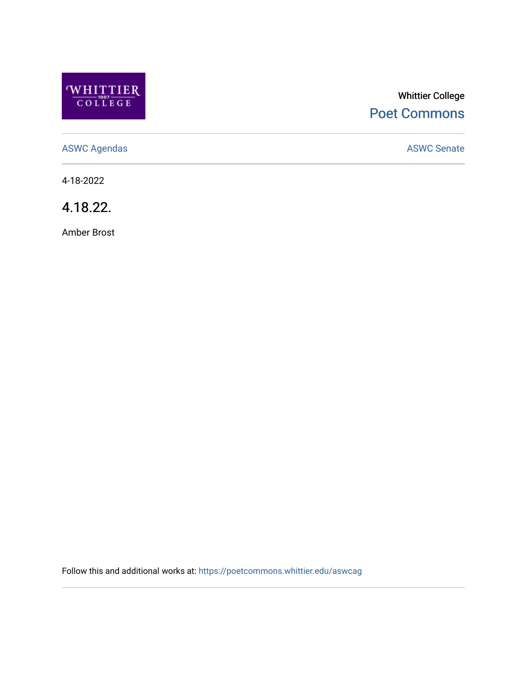

# Whittier College [Poet Commons](https://poetcommons.whittier.edu/)

[ASWC Agendas](https://poetcommons.whittier.edu/aswcag) **ASWC Senate** 

4-18-2022

4.18.22.

Amber Brost

Follow this and additional works at: [https://poetcommons.whittier.edu/aswcag](https://poetcommons.whittier.edu/aswcag?utm_source=poetcommons.whittier.edu%2Faswcag%2F188&utm_medium=PDF&utm_campaign=PDFCoverPages)